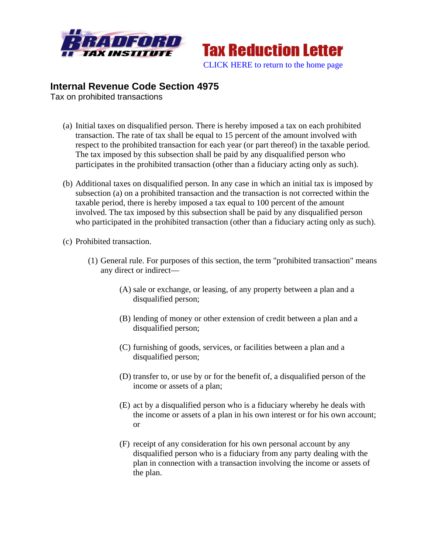



# **Internal Revenue Code Section 4975**

Tax on prohibited transactions

- (a) Initial taxes on disqualified person. There is hereby imposed a tax on each prohibited transaction. The rate of tax shall be equal to 15 percent of the amount involved with respect to the prohibited transaction for each year (or part thereof) in the taxable period. The tax imposed by this subsection shall be paid by any disqualified person who participates in the prohibited transaction (other than a fiduciary acting only as such).
- (b) Additional taxes on disqualified person. In any case in which an initial tax is imposed by subsection (a) on a prohibited transaction and the transaction is not corrected within the taxable period, there is hereby imposed a tax equal to 100 percent of the amount involved. The tax imposed by this subsection shall be paid by any disqualified person who participated in the prohibited transaction (other than a fiduciary acting only as such).
- (c) Prohibited transaction.
	- (1) General rule. For purposes of this section, the term "prohibited transaction" means any direct or indirect—
		- (A) sale or exchange, or leasing, of any property between a plan and a disqualified person;
		- (B) lending of money or other extension of credit between a plan and a disqualified person;
		- (C) furnishing of goods, services, or facilities between a plan and a disqualified person;
		- (D) transfer to, or use by or for the benefit of, a disqualified person of the income or assets of a plan;
		- (E) act by a disqualified person who is a fiduciary whereby he deals with the income or assets of a plan in his own interest or for his own account; or
		- (F) receipt of any consideration for his own personal account by any disqualified person who is a fiduciary from any party dealing with the plan in connection with a transaction involving the income or assets of the plan.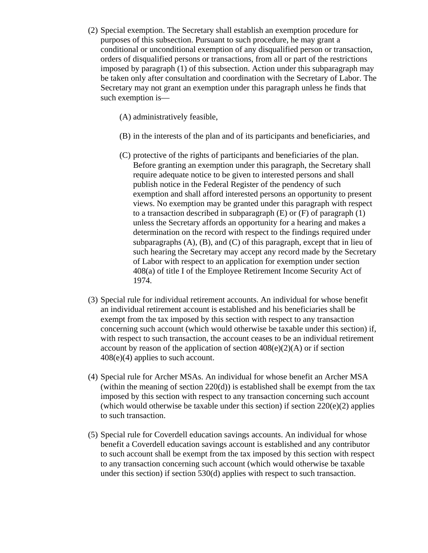- (2) Special exemption. The Secretary shall establish an exemption procedure for purposes of this subsection. Pursuant to such procedure, he may grant a conditional or unconditional exemption of any disqualified person or transaction, orders of disqualified persons or transactions, from all or part of the restrictions imposed by paragraph (1) of this subsection. Action under this subparagraph may be taken only after consultation and coordination with the Secretary of Labor. The Secretary may not grant an exemption under this paragraph unless he finds that such exemption is—
	- (A) administratively feasible,
	- (B) in the interests of the plan and of its participants and beneficiaries, and
	- (C) protective of the rights of participants and beneficiaries of the plan. Before granting an exemption under this paragraph, the Secretary shall require adequate notice to be given to interested persons and shall publish notice in the Federal Register of the pendency of such exemption and shall afford interested persons an opportunity to present views. No exemption may be granted under this paragraph with respect to a transaction described in subparagraph  $(E)$  or  $(F)$  of paragraph  $(1)$ unless the Secretary affords an opportunity for a hearing and makes a determination on the record with respect to the findings required under subparagraphs  $(A)$ ,  $(B)$ , and  $(C)$  of this paragraph, except that in lieu of such hearing the Secretary may accept any record made by the Secretary of Labor with respect to an application for exemption under section 408(a) of title I of the Employee Retirement Income Security Act of 1974.
- (3) Special rule for individual retirement accounts. An individual for whose benefit an individual retirement account is established and his beneficiaries shall be exempt from the tax imposed by this section with respect to any transaction concerning such account (which would otherwise be taxable under this section) if, with respect to such transaction, the account ceases to be an individual retirement account by reason of the application of section  $408(e)(2)(A)$  or if section 408(e)(4) applies to such account.
- (4) Special rule for Archer MSAs. An individual for whose benefit an Archer MSA (within the meaning of section  $220(d)$ ) is established shall be exempt from the tax imposed by this section with respect to any transaction concerning such account (which would otherwise be taxable under this section) if section  $220(e)(2)$  applies to such transaction.
- (5) Special rule for Coverdell education savings accounts. An individual for whose benefit a Coverdell education savings account is established and any contributor to such account shall be exempt from the tax imposed by this section with respect to any transaction concerning such account (which would otherwise be taxable under this section) if section 530(d) applies with respect to such transaction.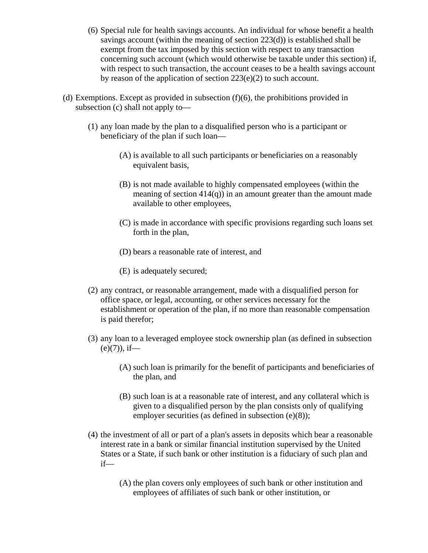- (6) Special rule for health savings accounts. An individual for whose benefit a health savings account (within the meaning of section 223(d)) is established shall be exempt from the tax imposed by this section with respect to any transaction concerning such account (which would otherwise be taxable under this section) if, with respect to such transaction, the account ceases to be a health savings account by reason of the application of section 223(e)(2) to such account.
- (d) Exemptions. Except as provided in subsection  $(f)(6)$ , the prohibitions provided in subsection (c) shall not apply to—
	- (1) any loan made by the plan to a disqualified person who is a participant or beneficiary of the plan if such loan—
		- (A) is available to all such participants or beneficiaries on a reasonably equivalent basis,
		- (B) is not made available to highly compensated employees (within the meaning of section  $414(q)$ ) in an amount greater than the amount made available to other employees,
		- (C) is made in accordance with specific provisions regarding such loans set forth in the plan,
		- (D) bears a reasonable rate of interest, and
		- (E) is adequately secured;
	- (2) any contract, or reasonable arrangement, made with a disqualified person for office space, or legal, accounting, or other services necessary for the establishment or operation of the plan, if no more than reasonable compensation is paid therefor;
	- (3) any loan to a leveraged employee stock ownership plan (as defined in subsection  $(e)(7)$ , if—
		- (A) such loan is primarily for the benefit of participants and beneficiaries of the plan, and
		- (B) such loan is at a reasonable rate of interest, and any collateral which is given to a disqualified person by the plan consists only of qualifying employer securities (as defined in subsection (e)(8));
	- (4) the investment of all or part of a plan's assets in deposits which bear a reasonable interest rate in a bank or similar financial institution supervised by the United States or a State, if such bank or other institution is a fiduciary of such plan and if—
		- (A) the plan covers only employees of such bank or other institution and employees of affiliates of such bank or other institution, or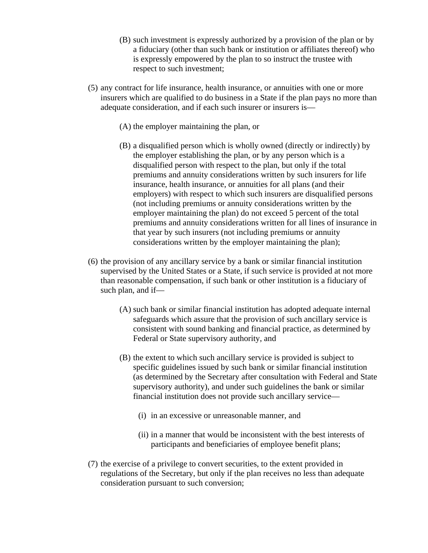- (B) such investment is expressly authorized by a provision of the plan or by a fiduciary (other than such bank or institution or affiliates thereof) who is expressly empowered by the plan to so instruct the trustee with respect to such investment;
- (5) any contract for life insurance, health insurance, or annuities with one or more insurers which are qualified to do business in a State if the plan pays no more than adequate consideration, and if each such insurer or insurers is—
	- (A) the employer maintaining the plan, or
	- (B) a disqualified person which is wholly owned (directly or indirectly) by the employer establishing the plan, or by any person which is a disqualified person with respect to the plan, but only if the total premiums and annuity considerations written by such insurers for life insurance, health insurance, or annuities for all plans (and their employers) with respect to which such insurers are disqualified persons (not including premiums or annuity considerations written by the employer maintaining the plan) do not exceed 5 percent of the total premiums and annuity considerations written for all lines of insurance in that year by such insurers (not including premiums or annuity considerations written by the employer maintaining the plan);
- (6) the provision of any ancillary service by a bank or similar financial institution supervised by the United States or a State, if such service is provided at not more than reasonable compensation, if such bank or other institution is a fiduciary of such plan, and if—
	- (A) such bank or similar financial institution has adopted adequate internal safeguards which assure that the provision of such ancillary service is consistent with sound banking and financial practice, as determined by Federal or State supervisory authority, and
	- (B) the extent to which such ancillary service is provided is subject to specific guidelines issued by such bank or similar financial institution (as determined by the Secretary after consultation with Federal and State supervisory authority), and under such guidelines the bank or similar financial institution does not provide such ancillary service—
		- (i) in an excessive or unreasonable manner, and
		- (ii) in a manner that would be inconsistent with the best interests of participants and beneficiaries of employee benefit plans;
- (7) the exercise of a privilege to convert securities, to the extent provided in regulations of the Secretary, but only if the plan receives no less than adequate consideration pursuant to such conversion;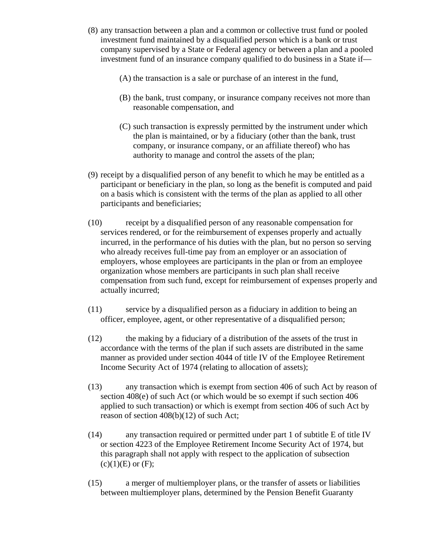- (8) any transaction between a plan and a common or collective trust fund or pooled investment fund maintained by a disqualified person which is a bank or trust company supervised by a State or Federal agency or between a plan and a pooled investment fund of an insurance company qualified to do business in a State if—
	- (A) the transaction is a sale or purchase of an interest in the fund,
	- (B) the bank, trust company, or insurance company receives not more than reasonable compensation, and
	- (C) such transaction is expressly permitted by the instrument under which the plan is maintained, or by a fiduciary (other than the bank, trust company, or insurance company, or an affiliate thereof) who has authority to manage and control the assets of the plan;
- (9) receipt by a disqualified person of any benefit to which he may be entitled as a participant or beneficiary in the plan, so long as the benefit is computed and paid on a basis which is consistent with the terms of the plan as applied to all other participants and beneficiaries;
- (10) receipt by a disqualified person of any reasonable compensation for services rendered, or for the reimbursement of expenses properly and actually incurred, in the performance of his duties with the plan, but no person so serving who already receives full-time pay from an employer or an association of employers, whose employees are participants in the plan or from an employee organization whose members are participants in such plan shall receive compensation from such fund, except for reimbursement of expenses properly and actually incurred;
- (11) service by a disqualified person as a fiduciary in addition to being an officer, employee, agent, or other representative of a disqualified person;
- (12) the making by a fiduciary of a distribution of the assets of the trust in accordance with the terms of the plan if such assets are distributed in the same manner as provided under section 4044 of title IV of the Employee Retirement Income Security Act of 1974 (relating to allocation of assets);
- (13) any transaction which is exempt from section 406 of such Act by reason of section 408(e) of such Act (or which would be so exempt if such section 406 applied to such transaction) or which is exempt from section 406 of such Act by reason of section 408(b)(12) of such Act;
- (14) any transaction required or permitted under part 1 of subtitle E of title IV or section 4223 of the Employee Retirement Income Security Act of 1974, but this paragraph shall not apply with respect to the application of subsection  $(c)(1)(E)$  or  $(F)$ ;
- (15) a merger of multiemployer plans, or the transfer of assets or liabilities between multiemployer plans, determined by the Pension Benefit Guaranty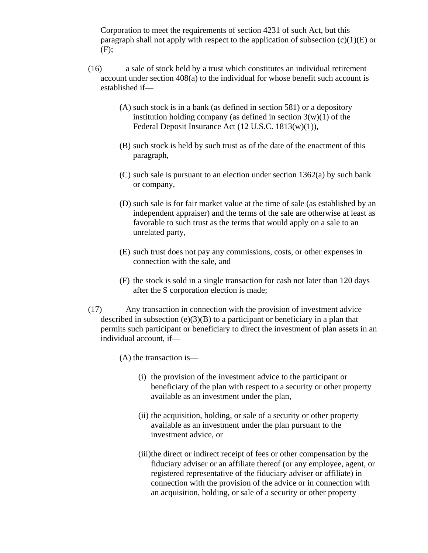Corporation to meet the requirements of section 4231 of such Act, but this paragraph shall not apply with respect to the application of subsection  $(c)(1)(E)$  or (F);

- (16) a sale of stock held by a trust which constitutes an individual retirement account under section 408(a) to the individual for whose benefit such account is established if—
	- (A) such stock is in a bank (as defined in section 581) or a depository institution holding company (as defined in section  $3(w)(1)$  of the Federal Deposit Insurance Act (12 U.S.C. 1813(w)(1)),
	- (B) such stock is held by such trust as of the date of the enactment of this paragraph,
	- (C) such sale is pursuant to an election under section 1362(a) by such bank or company,
	- (D) such sale is for fair market value at the time of sale (as established by an independent appraiser) and the terms of the sale are otherwise at least as favorable to such trust as the terms that would apply on a sale to an unrelated party,
	- (E) such trust does not pay any commissions, costs, or other expenses in connection with the sale, and
	- (F) the stock is sold in a single transaction for cash not later than 120 days after the S corporation election is made;
- (17) Any transaction in connection with the provision of investment advice described in subsection  $(e)(3)(B)$  to a participant or beneficiary in a plan that permits such participant or beneficiary to direct the investment of plan assets in an individual account, if—
	- (A) the transaction is—
		- (i) the provision of the investment advice to the participant or beneficiary of the plan with respect to a security or other property available as an investment under the plan,
		- (ii) the acquisition, holding, or sale of a security or other property available as an investment under the plan pursuant to the investment advice, or
		- (iii)the direct or indirect receipt of fees or other compensation by the fiduciary adviser or an affiliate thereof (or any employee, agent, or registered representative of the fiduciary adviser or affiliate) in connection with the provision of the advice or in connection with an acquisition, holding, or sale of a security or other property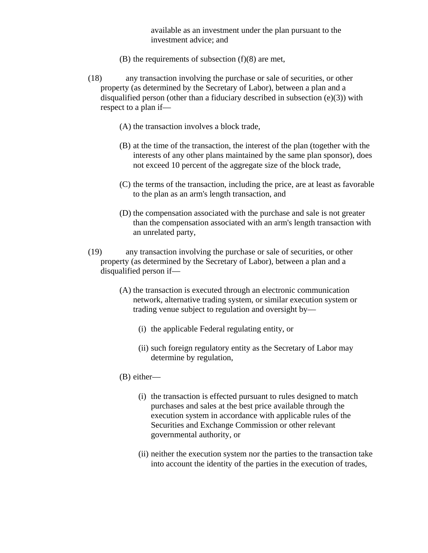available as an investment under the plan pursuant to the investment advice; and

- $(B)$  the requirements of subsection  $(f)(8)$  are met,
- (18) any transaction involving the purchase or sale of securities, or other property (as determined by the Secretary of Labor), between a plan and a disqualified person (other than a fiduciary described in subsection (e)(3)) with respect to a plan if—
	- (A) the transaction involves a block trade,
	- (B) at the time of the transaction, the interest of the plan (together with the interests of any other plans maintained by the same plan sponsor), does not exceed 10 percent of the aggregate size of the block trade,
	- (C) the terms of the transaction, including the price, are at least as favorable to the plan as an arm's length transaction, and
	- (D) the compensation associated with the purchase and sale is not greater than the compensation associated with an arm's length transaction with an unrelated party,
- (19) any transaction involving the purchase or sale of securities, or other property (as determined by the Secretary of Labor), between a plan and a disqualified person if—
	- (A) the transaction is executed through an electronic communication network, alternative trading system, or similar execution system or trading venue subject to regulation and oversight by—
		- (i) the applicable Federal regulating entity, or
		- (ii) such foreign regulatory entity as the Secretary of Labor may determine by regulation,
	- (B) either—
		- (i) the transaction is effected pursuant to rules designed to match purchases and sales at the best price available through the execution system in accordance with applicable rules of the Securities and Exchange Commission or other relevant governmental authority, or
		- (ii) neither the execution system nor the parties to the transaction take into account the identity of the parties in the execution of trades,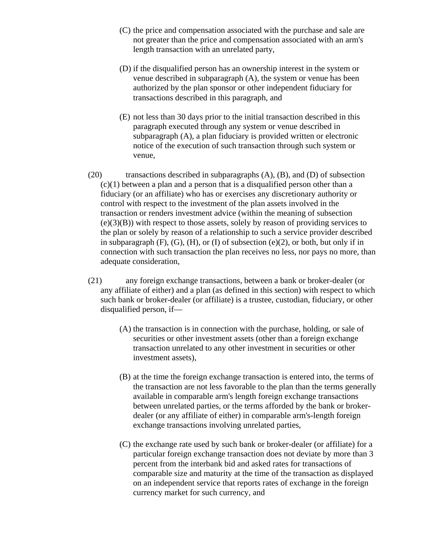- (C) the price and compensation associated with the purchase and sale are not greater than the price and compensation associated with an arm's length transaction with an unrelated party,
- (D) if the disqualified person has an ownership interest in the system or venue described in subparagraph (A), the system or venue has been authorized by the plan sponsor or other independent fiduciary for transactions described in this paragraph, and
- (E) not less than 30 days prior to the initial transaction described in this paragraph executed through any system or venue described in subparagraph (A), a plan fiduciary is provided written or electronic notice of the execution of such transaction through such system or venue,
- (20) transactions described in subparagraphs (A), (B), and (D) of subsection (c)(1) between a plan and a person that is a disqualified person other than a fiduciary (or an affiliate) who has or exercises any discretionary authority or control with respect to the investment of the plan assets involved in the transaction or renders investment advice (within the meaning of subsection (e)(3)(B)) with respect to those assets, solely by reason of providing services to the plan or solely by reason of a relationship to such a service provider described in subparagraph  $(F)$ ,  $(G)$ ,  $(H)$ , or  $(I)$  of subsection  $(e)(2)$ , or both, but only if in connection with such transaction the plan receives no less, nor pays no more, than adequate consideration,
- (21) any foreign exchange transactions, between a bank or broker-dealer (or any affiliate of either) and a plan (as defined in this section) with respect to which such bank or broker-dealer (or affiliate) is a trustee, custodian, fiduciary, or other disqualified person, if—
	- (A) the transaction is in connection with the purchase, holding, or sale of securities or other investment assets (other than a foreign exchange transaction unrelated to any other investment in securities or other investment assets),
	- (B) at the time the foreign exchange transaction is entered into, the terms of the transaction are not less favorable to the plan than the terms generally available in comparable arm's length foreign exchange transactions between unrelated parties, or the terms afforded by the bank or brokerdealer (or any affiliate of either) in comparable arm's-length foreign exchange transactions involving unrelated parties,
	- (C) the exchange rate used by such bank or broker-dealer (or affiliate) for a particular foreign exchange transaction does not deviate by more than 3 percent from the interbank bid and asked rates for transactions of comparable size and maturity at the time of the transaction as displayed on an independent service that reports rates of exchange in the foreign currency market for such currency, and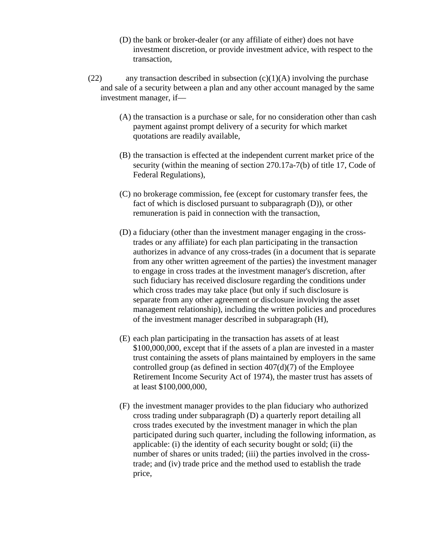- (D) the bank or broker-dealer (or any affiliate of either) does not have investment discretion, or provide investment advice, with respect to the transaction,
- (22) any transaction described in subsection  $(c)(1)(A)$  involving the purchase and sale of a security between a plan and any other account managed by the same investment manager, if—
	- (A) the transaction is a purchase or sale, for no consideration other than cash payment against prompt delivery of a security for which market quotations are readily available,
	- (B) the transaction is effected at the independent current market price of the security (within the meaning of section 270.17a-7(b) of title 17, Code of Federal Regulations),
	- (C) no brokerage commission, fee (except for customary transfer fees, the fact of which is disclosed pursuant to subparagraph (D)), or other remuneration is paid in connection with the transaction,
	- (D) a fiduciary (other than the investment manager engaging in the crosstrades or any affiliate) for each plan participating in the transaction authorizes in advance of any cross-trades (in a document that is separate from any other written agreement of the parties) the investment manager to engage in cross trades at the investment manager's discretion, after such fiduciary has received disclosure regarding the conditions under which cross trades may take place (but only if such disclosure is separate from any other agreement or disclosure involving the asset management relationship), including the written policies and procedures of the investment manager described in subparagraph (H),
	- (E) each plan participating in the transaction has assets of at least \$100,000,000, except that if the assets of a plan are invested in a master trust containing the assets of plans maintained by employers in the same controlled group (as defined in section  $407(d)(7)$  of the Employee Retirement Income Security Act of 1974), the master trust has assets of at least \$100,000,000,
	- (F) the investment manager provides to the plan fiduciary who authorized cross trading under subparagraph (D) a quarterly report detailing all cross trades executed by the investment manager in which the plan participated during such quarter, including the following information, as applicable: (i) the identity of each security bought or sold; (ii) the number of shares or units traded; (iii) the parties involved in the crosstrade; and (iv) trade price and the method used to establish the trade price,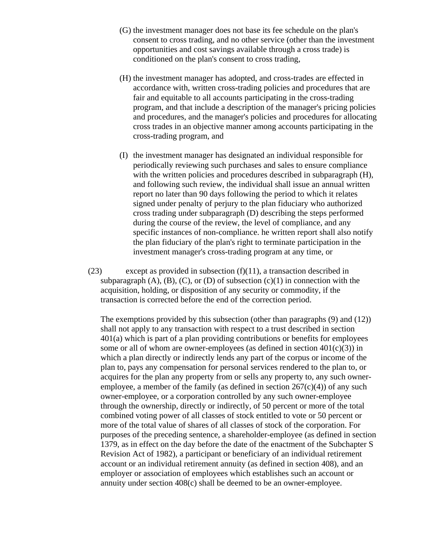- (G) the investment manager does not base its fee schedule on the plan's consent to cross trading, and no other service (other than the investment opportunities and cost savings available through a cross trade) is conditioned on the plan's consent to cross trading,
- (H) the investment manager has adopted, and cross-trades are effected in accordance with, written cross-trading policies and procedures that are fair and equitable to all accounts participating in the cross-trading program, and that include a description of the manager's pricing policies and procedures, and the manager's policies and procedures for allocating cross trades in an objective manner among accounts participating in the cross-trading program, and
- (I) the investment manager has designated an individual responsible for periodically reviewing such purchases and sales to ensure compliance with the written policies and procedures described in subparagraph  $(H)$ , and following such review, the individual shall issue an annual written report no later than 90 days following the period to which it relates signed under penalty of perjury to the plan fiduciary who authorized cross trading under subparagraph (D) describing the steps performed during the course of the review, the level of compliance, and any specific instances of non-compliance. he written report shall also notify the plan fiduciary of the plan's right to terminate participation in the investment manager's cross-trading program at any time, or
- (23) except as provided in subsection (f)(11), a transaction described in subparagraph  $(A)$ ,  $(B)$ ,  $(C)$ , or  $(D)$  of subsection  $(c)(1)$  in connection with the acquisition, holding, or disposition of any security or commodity, if the transaction is corrected before the end of the correction period.

The exemptions provided by this subsection (other than paragraphs (9) and (12)) shall not apply to any transaction with respect to a trust described in section 401(a) which is part of a plan providing contributions or benefits for employees some or all of whom are owner-employees (as defined in section  $401(c)(3)$ ) in which a plan directly or indirectly lends any part of the corpus or income of the plan to, pays any compensation for personal services rendered to the plan to, or acquires for the plan any property from or sells any property to, any such owneremployee, a member of the family (as defined in section  $267(c)(4)$ ) of any such owner-employee, or a corporation controlled by any such owner-employee through the ownership, directly or indirectly, of 50 percent or more of the total combined voting power of all classes of stock entitled to vote or 50 percent or more of the total value of shares of all classes of stock of the corporation. For purposes of the preceding sentence, a shareholder-employee (as defined in section 1379, as in effect on the day before the date of the enactment of the Subchapter S Revision Act of 1982), a participant or beneficiary of an individual retirement account or an individual retirement annuity (as defined in section 408), and an employer or association of employees which establishes such an account or annuity under section 408(c) shall be deemed to be an owner-employee.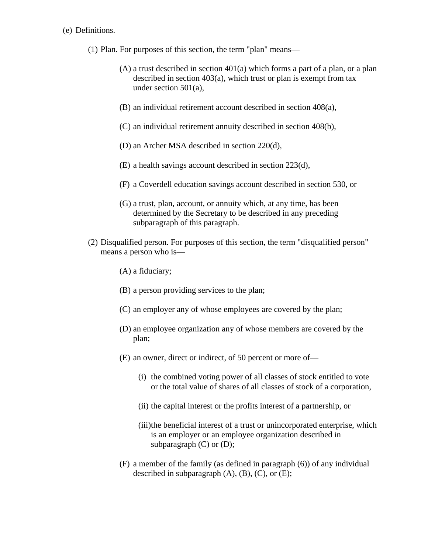#### (e) Definitions.

- (1) Plan. For purposes of this section, the term "plan" means—
	- (A) a trust described in section 401(a) which forms a part of a plan, or a plan described in section 403(a), which trust or plan is exempt from tax under section 501(a),
	- (B) an individual retirement account described in section 408(a),
	- (C) an individual retirement annuity described in section 408(b),
	- (D) an Archer MSA described in section 220(d),
	- (E) a health savings account described in section 223(d),
	- (F) a Coverdell education savings account described in section 530, or
	- (G) a trust, plan, account, or annuity which, at any time, has been determined by the Secretary to be described in any preceding subparagraph of this paragraph.
- (2) Disqualified person. For purposes of this section, the term "disqualified person" means a person who is—
	- (A) a fiduciary;
	- (B) a person providing services to the plan;
	- (C) an employer any of whose employees are covered by the plan;
	- (D) an employee organization any of whose members are covered by the plan;
	- (E) an owner, direct or indirect, of 50 percent or more of—
		- (i) the combined voting power of all classes of stock entitled to vote or the total value of shares of all classes of stock of a corporation,
		- (ii) the capital interest or the profits interest of a partnership, or
		- (iii)the beneficial interest of a trust or unincorporated enterprise, which is an employer or an employee organization described in subparagraph (C) or (D);
	- (F) a member of the family (as defined in paragraph (6)) of any individual described in subparagraph  $(A)$ ,  $(B)$ ,  $(C)$ , or  $(E)$ ;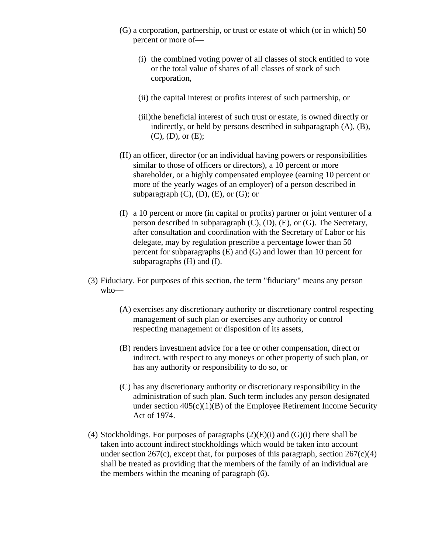- (G) a corporation, partnership, or trust or estate of which (or in which) 50 percent or more of—
	- (i) the combined voting power of all classes of stock entitled to vote or the total value of shares of all classes of stock of such corporation,
	- (ii) the capital interest or profits interest of such partnership, or
	- (iii)the beneficial interest of such trust or estate, is owned directly or indirectly, or held by persons described in subparagraph (A), (B), (C), (D), or (E);
- (H) an officer, director (or an individual having powers or responsibilities similar to those of officers or directors), a 10 percent or more shareholder, or a highly compensated employee (earning 10 percent or more of the yearly wages of an employer) of a person described in subparagraph  $(C)$ ,  $(D)$ ,  $(E)$ , or  $(G)$ ; or
- (I) a 10 percent or more (in capital or profits) partner or joint venturer of a person described in subparagraph (C), (D), (E), or (G). The Secretary, after consultation and coordination with the Secretary of Labor or his delegate, may by regulation prescribe a percentage lower than 50 percent for subparagraphs (E) and (G) and lower than 10 percent for subparagraphs (H) and (I).
- (3) Fiduciary. For purposes of this section, the term "fiduciary" means any person who—
	- (A) exercises any discretionary authority or discretionary control respecting management of such plan or exercises any authority or control respecting management or disposition of its assets,
	- (B) renders investment advice for a fee or other compensation, direct or indirect, with respect to any moneys or other property of such plan, or has any authority or responsibility to do so, or
	- (C) has any discretionary authority or discretionary responsibility in the administration of such plan. Such term includes any person designated under section  $405(c)(1)(B)$  of the Employee Retirement Income Security Act of 1974.
- (4) Stockholdings. For purposes of paragraphs  $(2)(E)(i)$  and  $(G)(i)$  there shall be taken into account indirect stockholdings which would be taken into account under section 267(c), except that, for purposes of this paragraph, section  $267(c)(4)$ shall be treated as providing that the members of the family of an individual are the members within the meaning of paragraph (6).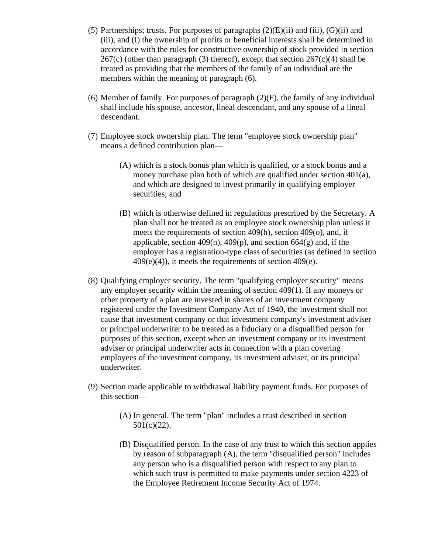- (5) Partnerships; trusts. For purposes of paragraphs  $(2)(E)(ii)$  and  $(iii)$ ,  $(G)(ii)$  and (iii), and (I) the ownership of profits or beneficial interests shall be determined in accordance with the rules for constructive ownership of stock provided in section  $267(c)$  (other than paragraph (3) thereof), except that section  $267(c)(4)$  shall be treated as providing that the members of the family of an individual are the members within the meaning of paragraph (6).
- (6) Member of family. For purposes of paragraph  $(2)(F)$ , the family of any individual shall include his spouse, ancestor, lineal descendant, and any spouse of a lineal descendant.
- (7) Employee stock ownership plan. The term "employee stock ownership plan" means a defined contribution plan—
	- (A) which is a stock bonus plan which is qualified, or a stock bonus and a money purchase plan both of which are qualified under section 401(a), and which are designed to invest primarily in qualifying employer securities; and
	- (B) which is otherwise defined in regulations prescribed by the Secretary. A plan shall not be treated as an employee stock ownership plan unless it meets the requirements of section 409(h), section 409(o), and, if applicable, section  $409(n)$ ,  $409(p)$ , and section  $664(g)$  and, if the employer has a registration-type class of securities (as defined in section  $409(e)(4)$ , it meets the requirements of section  $409(e)$ .
- (8) Qualifying employer security. The term "qualifying employer security" means any employer security within the meaning of section 409(1). If any moneys or other property of a plan are invested in shares of an investment company registered under the Investment Company Act of 1940, the investment shall not cause that investment company or that investment company's investment adviser or principal underwriter to be treated as a fiduciary or a disqualified person for purposes of this section, except when an investment company or its investment adviser or principal underwriter acts in connection with a plan covering employees of the investment company, its investment adviser, or its principal underwriter.
- (9) Section made applicable to withdrawal liability payment funds. For purposes of this section—
	- (A) In general. The term "plan" includes a trust described in section 501(c)(22).
	- (B) Disqualified person. In the case of any trust to which this section applies by reason of subparagraph (A), the term "disqualified person" includes any person who is a disqualified person with respect to any plan to which such trust is permitted to make payments under section 4223 of the Employee Retirement Income Security Act of 1974.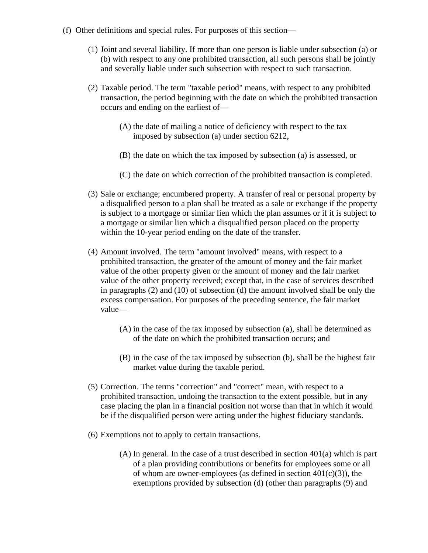- (f) Other definitions and special rules. For purposes of this section—
	- (1) Joint and several liability. If more than one person is liable under subsection (a) or (b) with respect to any one prohibited transaction, all such persons shall be jointly and severally liable under such subsection with respect to such transaction.
	- (2) Taxable period. The term "taxable period" means, with respect to any prohibited transaction, the period beginning with the date on which the prohibited transaction occurs and ending on the earliest of—
		- (A) the date of mailing a notice of deficiency with respect to the tax imposed by subsection (a) under section 6212,
		- (B) the date on which the tax imposed by subsection (a) is assessed, or
		- (C) the date on which correction of the prohibited transaction is completed.
	- (3) Sale or exchange; encumbered property. A transfer of real or personal property by a disqualified person to a plan shall be treated as a sale or exchange if the property is subject to a mortgage or similar lien which the plan assumes or if it is subject to a mortgage or similar lien which a disqualified person placed on the property within the 10-year period ending on the date of the transfer.
	- (4) Amount involved. The term "amount involved" means, with respect to a prohibited transaction, the greater of the amount of money and the fair market value of the other property given or the amount of money and the fair market value of the other property received; except that, in the case of services described in paragraphs (2) and (10) of subsection (d) the amount involved shall be only the excess compensation. For purposes of the preceding sentence, the fair market value—
		- (A) in the case of the tax imposed by subsection (a), shall be determined as of the date on which the prohibited transaction occurs; and
		- (B) in the case of the tax imposed by subsection (b), shall be the highest fair market value during the taxable period.
	- (5) Correction. The terms "correction" and "correct" mean, with respect to a prohibited transaction, undoing the transaction to the extent possible, but in any case placing the plan in a financial position not worse than that in which it would be if the disqualified person were acting under the highest fiduciary standards.
	- (6) Exemptions not to apply to certain transactions.
		- (A) In general. In the case of a trust described in section 401(a) which is part of a plan providing contributions or benefits for employees some or all of whom are owner-employees (as defined in section  $401(c)(3)$ ), the exemptions provided by subsection (d) (other than paragraphs (9) and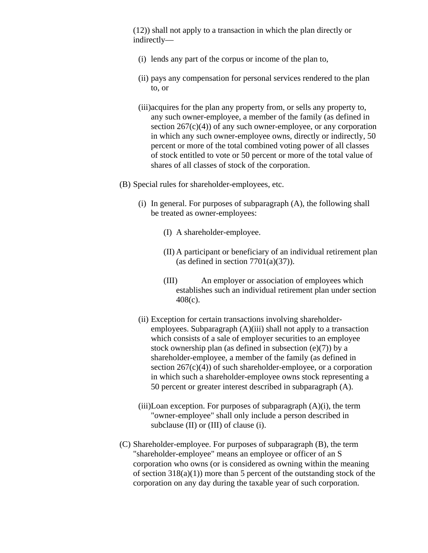(12)) shall not apply to a transaction in which the plan directly or indirectly—

- (i) lends any part of the corpus or income of the plan to,
- (ii) pays any compensation for personal services rendered to the plan to, or
- (iii)acquires for the plan any property from, or sells any property to, any such owner-employee, a member of the family (as defined in section  $267(c)(4)$  of any such owner-employee, or any corporation in which any such owner-employee owns, directly or indirectly, 50 percent or more of the total combined voting power of all classes of stock entitled to vote or 50 percent or more of the total value of shares of all classes of stock of the corporation.

(B) Special rules for shareholder-employees, etc.

- (i) In general. For purposes of subparagraph (A), the following shall be treated as owner-employees:
	- (I) A shareholder-employee.
	- (II) A participant or beneficiary of an individual retirement plan (as defined in section  $7701(a)(37)$ ).
	- (III) An employer or association of employees which establishes such an individual retirement plan under section 408(c).
- (ii) Exception for certain transactions involving shareholderemployees. Subparagraph (A)(iii) shall not apply to a transaction which consists of a sale of employer securities to an employee stock ownership plan (as defined in subsection (e)(7)) by a shareholder-employee, a member of the family (as defined in section  $267(c)(4)$  of such shareholder-employee, or a corporation in which such a shareholder-employee owns stock representing a 50 percent or greater interest described in subparagraph (A).
- $(iii)$ Loan exception. For purposes of subparagraph  $(A)(i)$ , the term "owner-employee" shall only include a person described in subclause (II) or (III) of clause (i).
- (C) Shareholder-employee. For purposes of subparagraph (B), the term "shareholder-employee" means an employee or officer of an S corporation who owns (or is considered as owning within the meaning of section  $318(a)(1)$  more than 5 percent of the outstanding stock of the corporation on any day during the taxable year of such corporation.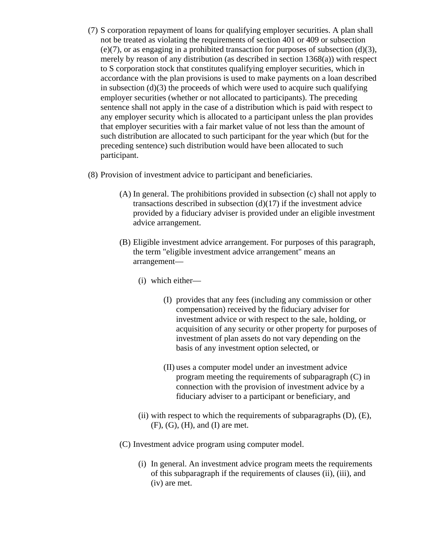- (7) S corporation repayment of loans for qualifying employer securities. A plan shall not be treated as violating the requirements of section 401 or 409 or subsection (e)(7), or as engaging in a prohibited transaction for purposes of subsection (d)(3), merely by reason of any distribution (as described in section 1368(a)) with respect to S corporation stock that constitutes qualifying employer securities, which in accordance with the plan provisions is used to make payments on a loan described in subsection  $(d)(3)$  the proceeds of which were used to acquire such qualifying employer securities (whether or not allocated to participants). The preceding sentence shall not apply in the case of a distribution which is paid with respect to any employer security which is allocated to a participant unless the plan provides that employer securities with a fair market value of not less than the amount of such distribution are allocated to such participant for the year which (but for the preceding sentence) such distribution would have been allocated to such participant.
- (8) Provision of investment advice to participant and beneficiaries.
	- (A) In general. The prohibitions provided in subsection (c) shall not apply to transactions described in subsection  $(d)(17)$  if the investment advice provided by a fiduciary adviser is provided under an eligible investment advice arrangement.
	- (B) Eligible investment advice arrangement. For purposes of this paragraph, the term "eligible investment advice arrangement" means an arrangement—
		- (i) which either—
			- (I) provides that any fees (including any commission or other compensation) received by the fiduciary adviser for investment advice or with respect to the sale, holding, or acquisition of any security or other property for purposes of investment of plan assets do not vary depending on the basis of any investment option selected, or
			- (II) uses a computer model under an investment advice program meeting the requirements of subparagraph (C) in connection with the provision of investment advice by a fiduciary adviser to a participant or beneficiary, and
		- (ii) with respect to which the requirements of subparagraphs  $(D)$ ,  $(E)$ ,  $(F)$ ,  $(G)$ ,  $(H)$ , and  $(I)$  are met.
	- (C) Investment advice program using computer model.
		- (i) In general. An investment advice program meets the requirements of this subparagraph if the requirements of clauses (ii), (iii), and (iv) are met.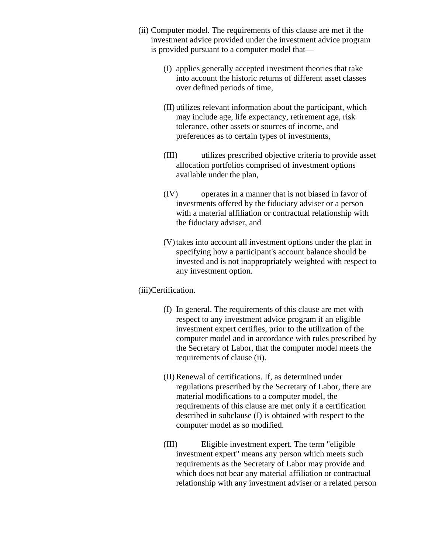- (ii) Computer model. The requirements of this clause are met if the investment advice provided under the investment advice program is provided pursuant to a computer model that—
	- (I) applies generally accepted investment theories that take into account the historic returns of different asset classes over defined periods of time,
	- (II) utilizes relevant information about the participant, which may include age, life expectancy, retirement age, risk tolerance, other assets or sources of income, and preferences as to certain types of investments,
	- (III) utilizes prescribed objective criteria to provide asset allocation portfolios comprised of investment options available under the plan,
	- (IV) operates in a manner that is not biased in favor of investments offered by the fiduciary adviser or a person with a material affiliation or contractual relationship with the fiduciary adviser, and
	- (V)takes into account all investment options under the plan in specifying how a participant's account balance should be invested and is not inappropriately weighted with respect to any investment option.

### (iii)Certification.

- (I) In general. The requirements of this clause are met with respect to any investment advice program if an eligible investment expert certifies, prior to the utilization of the computer model and in accordance with rules prescribed by the Secretary of Labor, that the computer model meets the requirements of clause (ii).
- (II) Renewal of certifications. If, as determined under regulations prescribed by the Secretary of Labor, there are material modifications to a computer model, the requirements of this clause are met only if a certification described in subclause (I) is obtained with respect to the computer model as so modified.
- (III) Eligible investment expert. The term "eligible investment expert" means any person which meets such requirements as the Secretary of Labor may provide and which does not bear any material affiliation or contractual relationship with any investment adviser or a related person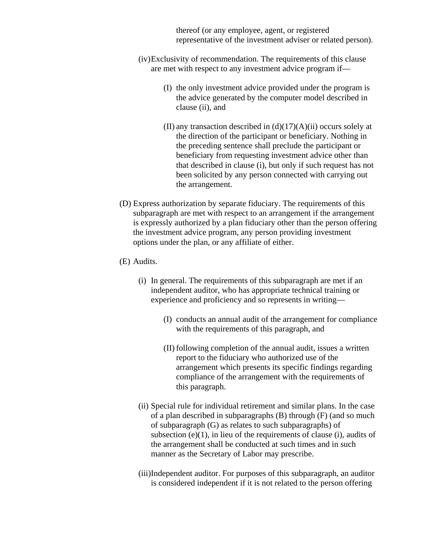thereof (or any employee, agent, or registered representative of the investment adviser or related person).

- (iv)Exclusivity of recommendation. The requirements of this clause are met with respect to any investment advice program if—
	- (I) the only investment advice provided under the program is the advice generated by the computer model described in clause (ii), and
	- (II) any transaction described in  $(d)(17)(A)(ii)$  occurs solely at the direction of the participant or beneficiary. Nothing in the preceding sentence shall preclude the participant or beneficiary from requesting investment advice other than that described in clause (i), but only if such request has not been solicited by any person connected with carrying out the arrangement.
- (D) Express authorization by separate fiduciary. The requirements of this subparagraph are met with respect to an arrangement if the arrangement is expressly authorized by a plan fiduciary other than the person offering the investment advice program, any person providing investment options under the plan, or any affiliate of either.
- (E) Audits.
	- (i) In general. The requirements of this subparagraph are met if an independent auditor, who has appropriate technical training or experience and proficiency and so represents in writing—
		- (I) conducts an annual audit of the arrangement for compliance with the requirements of this paragraph, and
		- (II) following completion of the annual audit, issues a written report to the fiduciary who authorized use of the arrangement which presents its specific findings regarding compliance of the arrangement with the requirements of this paragraph.
	- (ii) Special rule for individual retirement and similar plans. In the case of a plan described in subparagraphs (B) through (F) (and so much of subparagraph (G) as relates to such subparagraphs) of subsection  $(e)(1)$ , in lieu of the requirements of clause (i), audits of the arrangement shall be conducted at such times and in such manner as the Secretary of Labor may prescribe.
	- (iii)Independent auditor. For purposes of this subparagraph, an auditor is considered independent if it is not related to the person offering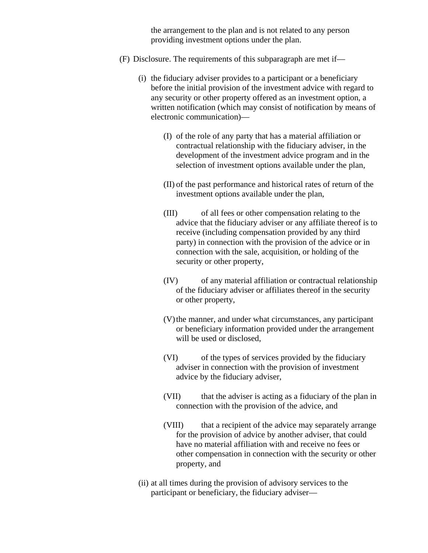the arrangement to the plan and is not related to any person providing investment options under the plan.

- (F) Disclosure. The requirements of this subparagraph are met if—
	- (i) the fiduciary adviser provides to a participant or a beneficiary before the initial provision of the investment advice with regard to any security or other property offered as an investment option, a written notification (which may consist of notification by means of electronic communication)—
		- (I) of the role of any party that has a material affiliation or contractual relationship with the fiduciary adviser, in the development of the investment advice program and in the selection of investment options available under the plan,
		- (II) of the past performance and historical rates of return of the investment options available under the plan,
		- (III) of all fees or other compensation relating to the advice that the fiduciary adviser or any affiliate thereof is to receive (including compensation provided by any third party) in connection with the provision of the advice or in connection with the sale, acquisition, or holding of the security or other property,
		- (IV) of any material affiliation or contractual relationship of the fiduciary adviser or affiliates thereof in the security or other property,
		- (V)the manner, and under what circumstances, any participant or beneficiary information provided under the arrangement will be used or disclosed,
		- (VI) of the types of services provided by the fiduciary adviser in connection with the provision of investment advice by the fiduciary adviser,
		- (VII) that the adviser is acting as a fiduciary of the plan in connection with the provision of the advice, and
		- (VIII) that a recipient of the advice may separately arrange for the provision of advice by another adviser, that could have no material affiliation with and receive no fees or other compensation in connection with the security or other property, and
	- (ii) at all times during the provision of advisory services to the participant or beneficiary, the fiduciary adviser—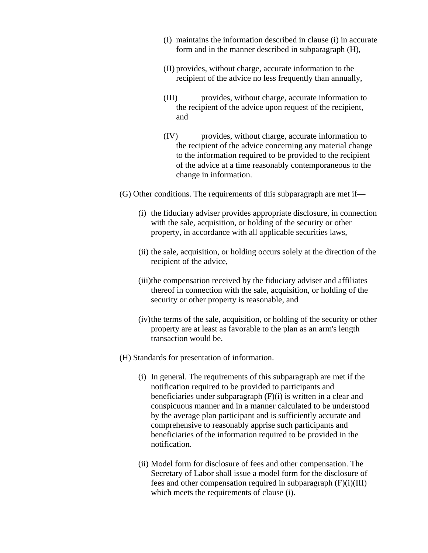- (I) maintains the information described in clause (i) in accurate form and in the manner described in subparagraph (H),
- (II) provides, without charge, accurate information to the recipient of the advice no less frequently than annually,
- (III) provides, without charge, accurate information to the recipient of the advice upon request of the recipient, and
- (IV) provides, without charge, accurate information to the recipient of the advice concerning any material change to the information required to be provided to the recipient of the advice at a time reasonably contemporaneous to the change in information.
- (G) Other conditions. The requirements of this subparagraph are met if—
	- (i) the fiduciary adviser provides appropriate disclosure, in connection with the sale, acquisition, or holding of the security or other property, in accordance with all applicable securities laws,
	- (ii) the sale, acquisition, or holding occurs solely at the direction of the recipient of the advice,
	- (iii)the compensation received by the fiduciary adviser and affiliates thereof in connection with the sale, acquisition, or holding of the security or other property is reasonable, and
	- (iv)the terms of the sale, acquisition, or holding of the security or other property are at least as favorable to the plan as an arm's length transaction would be.
- (H) Standards for presentation of information.
	- (i) In general. The requirements of this subparagraph are met if the notification required to be provided to participants and beneficiaries under subparagraph (F)(i) is written in a clear and conspicuous manner and in a manner calculated to be understood by the average plan participant and is sufficiently accurate and comprehensive to reasonably apprise such participants and beneficiaries of the information required to be provided in the notification.
	- (ii) Model form for disclosure of fees and other compensation. The Secretary of Labor shall issue a model form for the disclosure of fees and other compensation required in subparagraph (F)(i)(III) which meets the requirements of clause (i).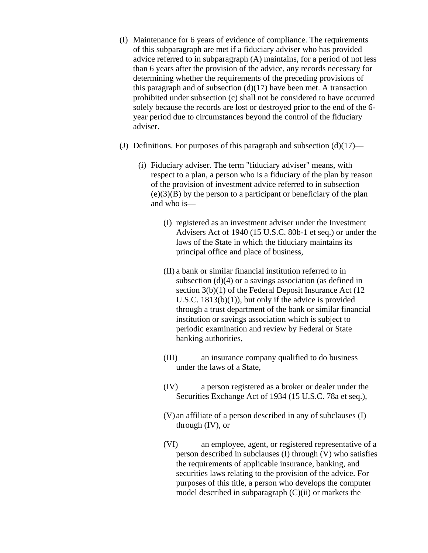- (I) Maintenance for 6 years of evidence of compliance. The requirements of this subparagraph are met if a fiduciary adviser who has provided advice referred to in subparagraph (A) maintains, for a period of not less than 6 years after the provision of the advice, any records necessary for determining whether the requirements of the preceding provisions of this paragraph and of subsection  $(d)(17)$  have been met. A transaction prohibited under subsection (c) shall not be considered to have occurred solely because the records are lost or destroyed prior to the end of the 6 year period due to circumstances beyond the control of the fiduciary adviser.
- (J) Definitions. For purposes of this paragraph and subsection  $(d)(17)$ 
	- (i) Fiduciary adviser. The term "fiduciary adviser" means, with respect to a plan, a person who is a fiduciary of the plan by reason of the provision of investment advice referred to in subsection  $(e)(3)(B)$  by the person to a participant or beneficiary of the plan and who is—
		- (I) registered as an investment adviser under the Investment Advisers Act of 1940 (15 U.S.C. 80b-1 et seq.) or under the laws of the State in which the fiduciary maintains its principal office and place of business,
		- (II) a bank or similar financial institution referred to in subsection (d)(4) or a savings association (as defined in section 3(b)(1) of the Federal Deposit Insurance Act (12) U.S.C. 1813(b)(1)), but only if the advice is provided through a trust department of the bank or similar financial institution or savings association which is subject to periodic examination and review by Federal or State banking authorities,
		- (III) an insurance company qualified to do business under the laws of a State,
		- (IV) a person registered as a broker or dealer under the Securities Exchange Act of 1934 (15 U.S.C. 78a et seq.),
		- (V) an affiliate of a person described in any of subclauses (I) through (IV), or
		- (VI) an employee, agent, or registered representative of a person described in subclauses (I) through (V) who satisfies the requirements of applicable insurance, banking, and securities laws relating to the provision of the advice. For purposes of this title, a person who develops the computer model described in subparagraph (C)(ii) or markets the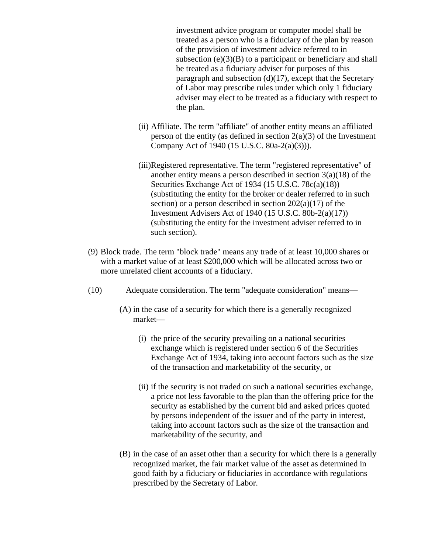investment advice program or computer model shall be treated as a person who is a fiduciary of the plan by reason of the provision of investment advice referred to in subsection  $(e)(3)(B)$  to a participant or beneficiary and shall be treated as a fiduciary adviser for purposes of this paragraph and subsection  $(d)(17)$ , except that the Secretary of Labor may prescribe rules under which only 1 fiduciary adviser may elect to be treated as a fiduciary with respect to the plan.

- (ii) Affiliate. The term "affiliate" of another entity means an affiliated person of the entity (as defined in section  $2(a)(3)$  of the Investment Company Act of 1940 (15 U.S.C. 80a-2(a)(3))).
- (iii)Registered representative. The term "registered representative" of another entity means a person described in section 3(a)(18) of the Securities Exchange Act of 1934 (15 U.S.C. 78c(a)(18)) (substituting the entity for the broker or dealer referred to in such section) or a person described in section  $202(a)(17)$  of the Investment Advisers Act of 1940 (15 U.S.C. 80b-2(a)(17)) (substituting the entity for the investment adviser referred to in such section).
- (9) Block trade. The term "block trade" means any trade of at least 10,000 shares or with a market value of at least \$200,000 which will be allocated across two or more unrelated client accounts of a fiduciary.
- (10) Adequate consideration. The term "adequate consideration" means—
	- (A) in the case of a security for which there is a generally recognized market—
		- (i) the price of the security prevailing on a national securities exchange which is registered under section 6 of the Securities Exchange Act of 1934, taking into account factors such as the size of the transaction and marketability of the security, or
		- (ii) if the security is not traded on such a national securities exchange, a price not less favorable to the plan than the offering price for the security as established by the current bid and asked prices quoted by persons independent of the issuer and of the party in interest, taking into account factors such as the size of the transaction and marketability of the security, and
	- (B) in the case of an asset other than a security for which there is a generally recognized market, the fair market value of the asset as determined in good faith by a fiduciary or fiduciaries in accordance with regulations prescribed by the Secretary of Labor.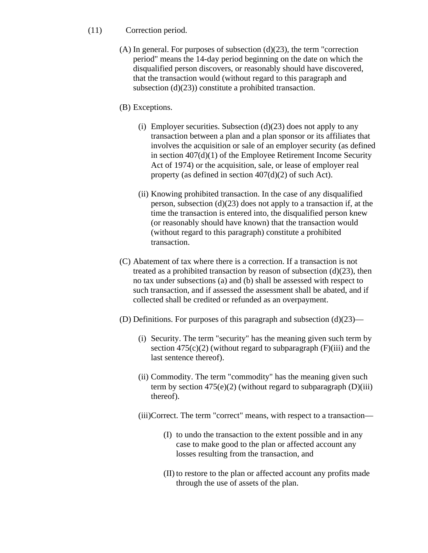### (11) Correction period.

 $(A)$  In general. For purposes of subsection  $(d)(23)$ , the term "correction period" means the 14-day period beginning on the date on which the disqualified person discovers, or reasonably should have discovered, that the transaction would (without regard to this paragraph and subsection (d)(23)) constitute a prohibited transaction.

## (B) Exceptions.

- (i) Employer securities. Subsection  $(d)(23)$  does not apply to any transaction between a plan and a plan sponsor or its affiliates that involves the acquisition or sale of an employer security (as defined in section 407(d)(1) of the Employee Retirement Income Security Act of 1974) or the acquisition, sale, or lease of employer real property (as defined in section 407(d)(2) of such Act).
- (ii) Knowing prohibited transaction. In the case of any disqualified person, subsection (d)(23) does not apply to a transaction if, at the time the transaction is entered into, the disqualified person knew (or reasonably should have known) that the transaction would (without regard to this paragraph) constitute a prohibited transaction.
- (C) Abatement of tax where there is a correction. If a transaction is not treated as a prohibited transaction by reason of subsection  $(d)(23)$ , then no tax under subsections (a) and (b) shall be assessed with respect to such transaction, and if assessed the assessment shall be abated, and if collected shall be credited or refunded as an overpayment.
- (D) Definitions. For purposes of this paragraph and subsection (d)(23)—
	- (i) Security. The term "security" has the meaning given such term by section  $475(c)(2)$  (without regard to subparagraph (F)(iii) and the last sentence thereof).
	- (ii) Commodity. The term "commodity" has the meaning given such term by section  $475(e)(2)$  (without regard to subparagraph (D)(iii) thereof).
	- (iii)Correct. The term "correct" means, with respect to a transaction—
		- (I) to undo the transaction to the extent possible and in any case to make good to the plan or affected account any losses resulting from the transaction, and
		- (II) to restore to the plan or affected account any profits made through the use of assets of the plan.